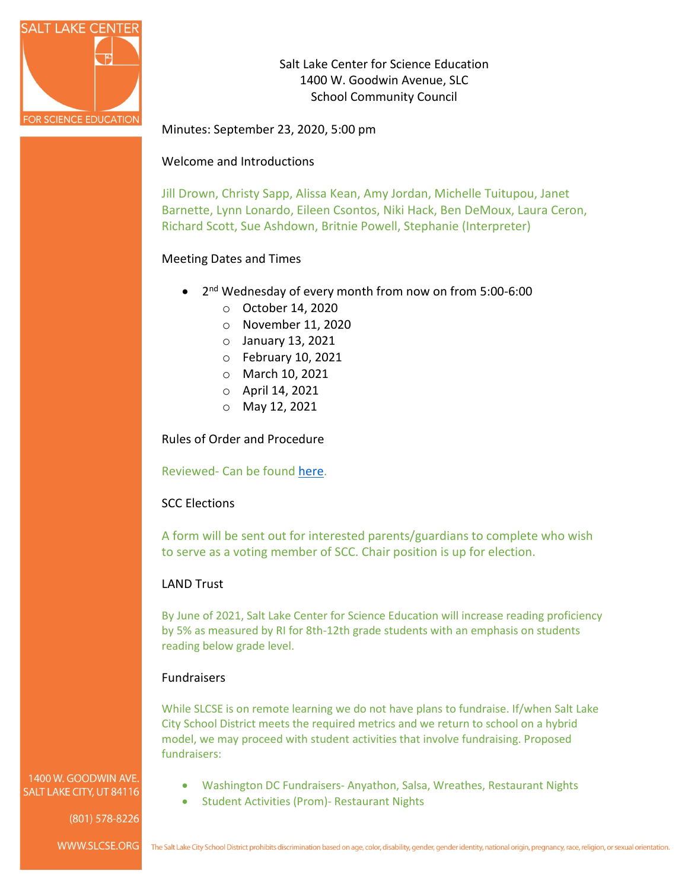

Salt Lake Center for Science Education 1400 W. Goodwin Avenue, SLC School Community Council

Minutes: September 23, 2020, 5:00 pm

## Welcome and Introductions

Jill Drown, Christy Sapp, Alissa Kean, Amy Jordan, Michelle Tuitupou, Janet Barnette, Lynn Lonardo, Eileen Csontos, Niki Hack, Ben DeMoux, Laura Ceron, Richard Scott, Sue Ashdown, Britnie Powell, Stephanie (Interpreter)

# Meeting Dates and Times

- 2nd Wednesday of every month from now on from 5:00-6:00
	- o October 14, 2020
	- o November 11, 2020
	- o January 13, 2021
	- o February 10, 2021
	- o March 10, 2021
	- o April 14, 2021
	- o May 12, 2021

Rules of Order and Procedure

## Reviewed- Can be found [here.](http://slcse.weebly.com/uploads/7/9/6/5/7965491/salt_lake_center_for_science_education_school_community_council_rules_of_order_and_procedure.docx)

## SCC Elections

A form will be sent out for interested parents/guardians to complete who wish to serve as a voting member of SCC. Chair position is up for election.

## LAND Trust

By June of 2021, Salt Lake Center for Science Education will increase reading proficiency by 5% as measured by RI for 8th-12th grade students with an emphasis on students reading below grade level.

## **Fundraisers**

While SLCSE is on remote learning we do not have plans to fundraise. If/when Salt Lake City School District meets the required metrics and we return to school on a hybrid model, we may proceed with student activities that involve fundraising. Proposed fundraisers:

1400 W. GOODWIN AVE. SALT LAKE CITY, UT 84116

 $(801)$  578-8226

- Washington DC Fundraisers- Anyathon, Salsa, Wreathes, Restaurant Nights
- Student Activities (Prom)- Restaurant Nights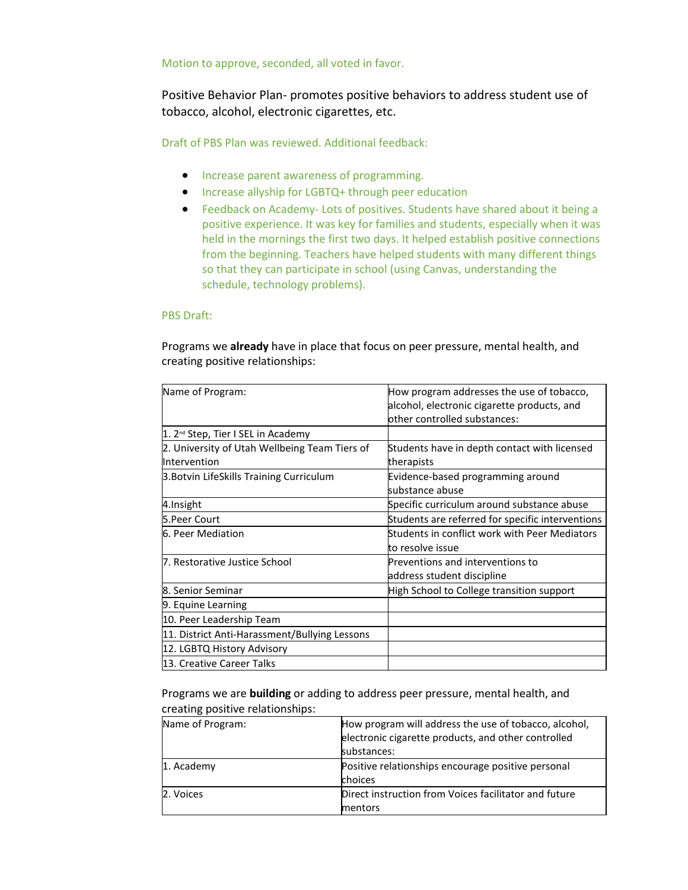Motion to approve, seconded, all voted in favor.

Positive Behavior Plan- promotes positive behaviors to address student use of tobacco, alcohol, electronic cigarettes, etc.

Draft of PBS Plan was reviewed. Additional feedback:

- Increase parent awareness of programming.
- Increase allyship for LGBTQ+ through peer education
- Feedback on Academy- Lots of positives. Students have shared about it being a positive experience. It was key for families and students, especially when it was held in the mornings the first two days. It helped establish positive connections from the beginning. Teachers have helped students with many different things so that they can participate in school (using Canvas, understanding the schedule, technology problems).

#### PBS Draft:

Programs we **already** have in place that focus on peer pressure, mental health, and creating positive relationships:

| Name of Program:                               | How program addresses the use of tobacco,        |
|------------------------------------------------|--------------------------------------------------|
|                                                | alcohol, electronic cigarette products, and      |
|                                                | other controlled substances:                     |
| 1. 2 <sup>nd</sup> Step, Tier I SEL in Academy |                                                  |
| 2. University of Utah Wellbeing Team Tiers of  | Students have in depth contact with licensed     |
| Intervention                                   | therapists                                       |
| 3. Botvin LifeSkills Training Curriculum       | Evidence-based programming around                |
|                                                | substance abuse                                  |
| 4.Insight                                      | Specific curriculum around substance abuse       |
| 5. Peer Court                                  | Students are referred for specific interventions |
| 6. Peer Mediation                              | Students in conflict work with Peer Mediators    |
|                                                | to resolve issue                                 |
| 7. Restorative Justice School                  | Preventions and interventions to                 |
|                                                | address student discipline                       |
| <b>8. Senior Seminar</b>                       | High School to College transition support        |
| 9. Equine Learning                             |                                                  |
| 10. Peer Leadership Team                       |                                                  |
| 11. District Anti-Harassment/Bullying Lessons  |                                                  |
| 12. LGBTQ History Advisory                     |                                                  |
| 13. Creative Career Talks                      |                                                  |

Programs we are **building** or adding to address peer pressure, mental health, and creating positive relationships:

| Name of Program: | How program will address the use of tobacco, alcohol, |  |
|------------------|-------------------------------------------------------|--|
|                  | electronic cigarette products, and other controlled   |  |
|                  | substances:                                           |  |
| 1. Academy       | Positive relationships encourage positive personal    |  |
|                  | choices                                               |  |
| 2. Voices        | Direct instruction from Voices facilitator and future |  |
|                  | mentors                                               |  |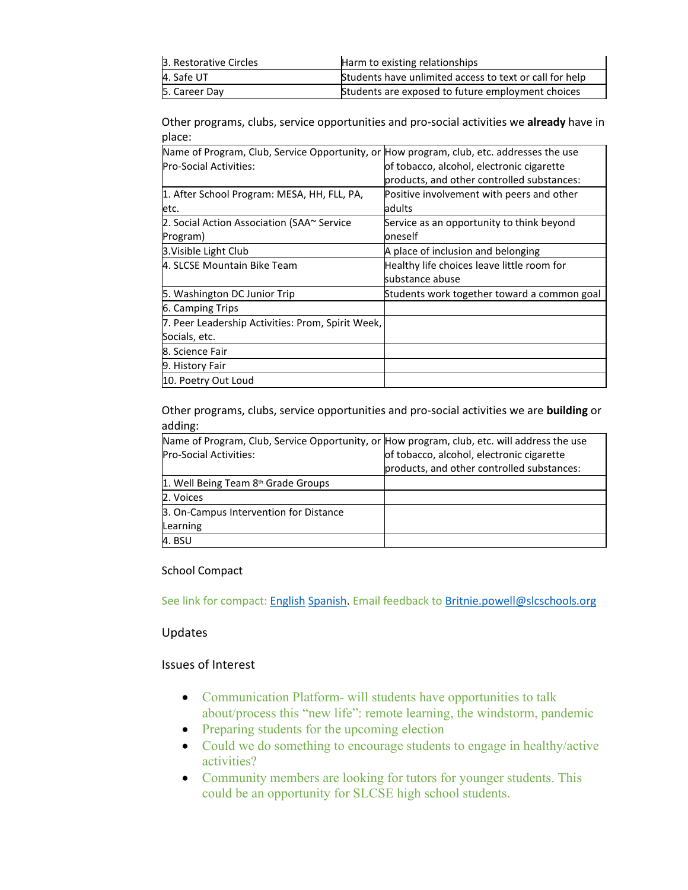| 3. Restorative Circles | Harm to existing relationships                          |
|------------------------|---------------------------------------------------------|
| 4. Safe UT             | Students have unlimited access to text or call for help |
| 5. Career Day          | Students are exposed to future employment choices       |

Other programs, clubs, service opportunities and pro-social activities we **already** have in place:

| Name of Program, Club, Service Opportunity, or How program, club, etc. addresses the use |                                             |
|------------------------------------------------------------------------------------------|---------------------------------------------|
| <b>Pro-Social Activities:</b>                                                            | of tobacco, alcohol, electronic cigarette   |
|                                                                                          | products, and other controlled substances:  |
| 1. After School Program: MESA, HH, FLL, PA,                                              | Positive involvement with peers and other   |
| etc.                                                                                     | adults                                      |
| 2. Social Action Association (SAA~ Service                                               | Service as an opportunity to think beyond   |
| Program)                                                                                 | oneself                                     |
| 3. Visible Light Club                                                                    | A place of inclusion and belonging          |
| 4. SLCSE Mountain Bike Team                                                              | Healthy life choices leave little room for  |
|                                                                                          | substance abuse                             |
| 5. Washington DC Junior Trip                                                             | Students work together toward a common goal |
| 6. Camping Trips                                                                         |                                             |
| 7. Peer Leadership Activities: Prom, Spirit Week,                                        |                                             |
| Socials, etc.                                                                            |                                             |
| 8. Science Fair                                                                          |                                             |
| 9. History Fair                                                                          |                                             |
| 10. Poetry Out Loud                                                                      |                                             |

Other programs, clubs, service opportunities and pro-social activities we are **building** or adding:

| Name of Program, Club, Service Opportunity, or How program, club, etc. will address the use |                                            |
|---------------------------------------------------------------------------------------------|--------------------------------------------|
| <b>Pro-Social Activities:</b>                                                               | of tobacco, alcohol, electronic cigarette  |
|                                                                                             | products, and other controlled substances: |
| 1. Well Being Team 8 <sup>th</sup> Grade Groups                                             |                                            |
| 2. Voices                                                                                   |                                            |
| 3. On-Campus Intervention for Distance                                                      |                                            |
| Learning                                                                                    |                                            |
| 4. BSU                                                                                      |                                            |

## School Compact

See link for compact: [English](http://slcse.weebly.com/uploads/7/9/6/5/7965491/slcse_compact_english_.pdf) [Spanish.](http://slcse.weebly.com/uploads/7/9/6/5/7965491/2020-2021_slcse_compact_spanish.docx) Email feedback to [Britnie.powell@slcschools.org](mailto:Britnie.powell@slcschools.org)

## Updates

#### Issues of Interest

- Communication Platform- will students have opportunities to talk about/process this "new life": remote learning, the windstorm, pandemic
- Preparing students for the upcoming election
- Could we do something to encourage students to engage in healthy/active activities?
- Community members are looking for tutors for younger students. This could be an opportunity for SLCSE high school students.